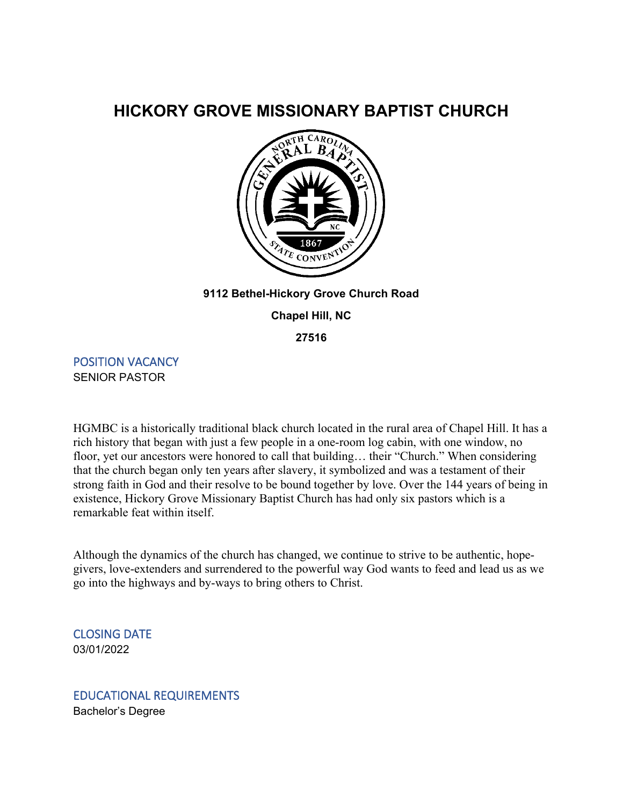# **HICKORY GROVE MISSIONARY BAPTIST CHURCH**



#### **9112 Bethel-Hickory Grove Church Road**

**Chapel Hill, NC**

**27516**

POSITION VACANCY SENIOR PASTOR

HGMBC is a historically traditional black church located in the rural area of Chapel Hill. It has a rich history that began with just a few people in a one-room log cabin, with one window, no floor, yet our ancestors were honored to call that building… their "Church." When considering that the church began only ten years after slavery, it symbolized and was a testament of their strong faith in God and their resolve to be bound together by love. Over the 144 years of being in existence, Hickory Grove Missionary Baptist Church has had only six pastors which is a remarkable feat within itself.

Although the dynamics of the church has changed, we continue to strive to be authentic, hopegivers, love-extenders and surrendered to the powerful way God wants to feed and lead us as we go into the highways and by-ways to bring others to Christ.

CLOSING DATE 03/01/2022

EDUCATIONAL REQUIREMENTS Bachelor's Degree